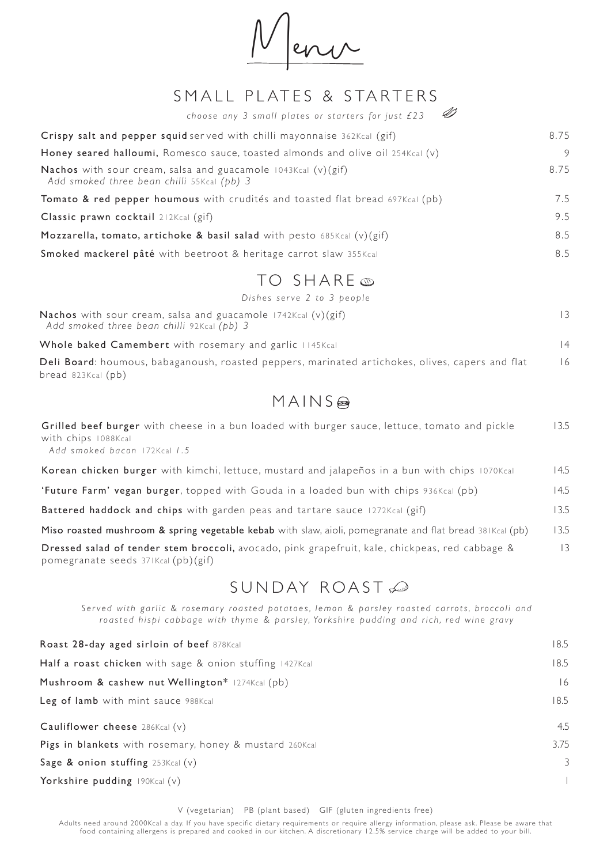Menu

### SMALL PLATES & STARTERS

| D<br>choose any 3 small plates or starters for just £23                                                              |      |
|----------------------------------------------------------------------------------------------------------------------|------|
| Crispy salt and pepper squid served with chilli mayonnaise 362Kcal (gif)                                             | 8.75 |
| Honey seared halloumi, Romesco sauce, toasted almonds and olive oil 254Kcal (v)                                      | 9    |
| <b>Nachos</b> with sour cream, salsa and guacamole $1043Kcal$ (v)(gif)<br>Add smoked three bean chilli 55Kcal (pb) 3 | 8.75 |
| <b>Tomato &amp; red pepper houmous</b> with crudités and toasted flat bread 697Kcal (pb)                             | 7.5  |
| Classic prawn cocktail 212Kcal (gif)                                                                                 | 9.5  |
| Mozzarella, tomato, artichoke & basil salad with pesto 685Kcal $(v)(gi)$                                             | 8.5  |
| <b>Smoked mackerel pâté</b> with beetroot & heritage carrot slaw 355Kcal                                             | 8.5  |
| TO SHARE ®                                                                                                           |      |

*Dishes serve 2 to 3 people*

| <b>Nachos</b> with sour cream, salsa and guacamole 1742Kcal $(v)(gif)$<br>Add smoked three bean chilli 92Kcal (pb) 3 |     |
|----------------------------------------------------------------------------------------------------------------------|-----|
| Whole baked Camembert with rosemary and garlic 1145Kcal                                                              | l 4 |
| .                                                                                                                    |     |

Deli Board: houmous, babaganoush, roasted peppers, marinated artichokes, olives, capers and flat bread 823Kcal (pb) 16

# MAINS

| Grilled beef burger with cheese in a bun loaded with burger sauce, lettuce, tomato and pickle<br>with chips 1088Kcal<br>Add smoked bacon 172Kcal 1.5 | 13.5           |
|------------------------------------------------------------------------------------------------------------------------------------------------------|----------------|
| Korean chicken burger with kimchi, lettuce, mustard and jalapeños in a bun with chips 1070Kcal                                                       | 14.5           |
| 'Future Farm' vegan burger, topped with Gouda in a loaded bun with chips 936Kcal (pb)                                                                | 14.5           |
| Battered haddock and chips with garden peas and tartare sauce 1272Kcal (gif)                                                                         | 13.5           |
| Miso roasted mushroom & spring vegetable kebab with slaw, aioli, pomegranate and flat bread 381Kcal (pb)                                             | 13.5           |
| Dressed salad of tender stem broccoli, avocado, pink grapefruit, kale, chickpeas, red cabbage &<br>pomegranate seeds 371Kcal (pb)(gif)               | $\overline{3}$ |

## SUNDAY ROAST

Served with garlic & rosemary roasted potatoes, lemon & parsley roasted carrots, broccoli and ro asted hispi cabbage with thyme & parsley, Yorkshire pudding and rich, red wine gravy

| Roast 28-day aged sirloin of beef 878Kcal                | 18.5 |
|----------------------------------------------------------|------|
| Half a roast chicken with sage & onion stuffing 1427Kcal | 18.5 |
| Mushroom & cashew nut Wellington* $1274Kcalcal$ (pb)     | 16   |
| Leg of lamb with mint sauce 988Kcal                      | 18.5 |
| Cauliflower cheese $286Kcal (v)$                         | 4.5  |
| Pigs in blankets with rosemary, honey & mustard 260Kcal  | 3.75 |
| Sage & onion stuffing $253Kcal$ (v)                      | 3    |
| Yorkshire pudding $190Kcal (v)$                          |      |

V (vegetarian) PB (plant based) GIF (gluten ingredients free)